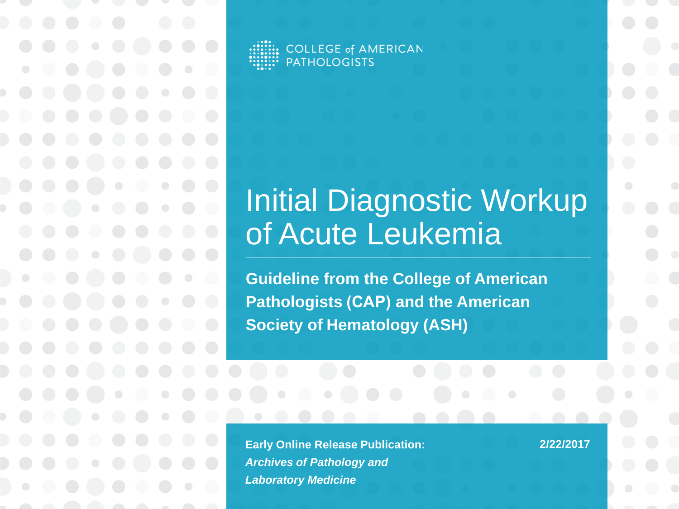**COLLEGE of AMERICAN PATHOLOGISTS** 

#### Initial Diagnostic Workup of Acute Leukemia

**Guideline from the College of American Pathologists (CAP) and the American Society of Hematology (ASH)** 

**Early Online Release Publication:**  *Archives of Pathology and Laboratory Medicine*

**2/22/2017**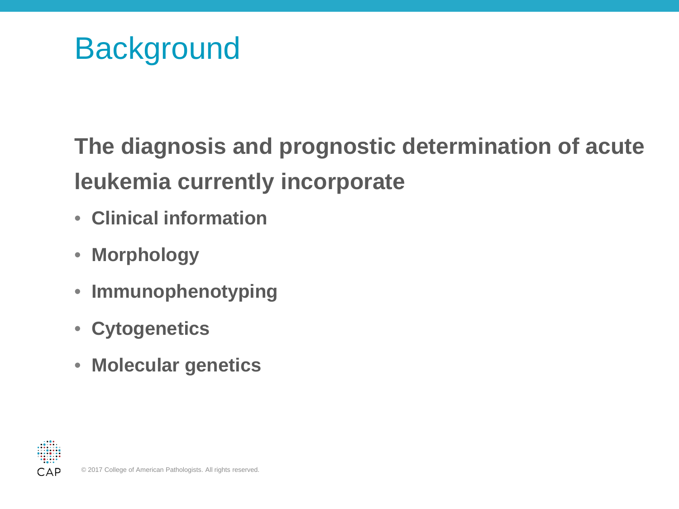**Background** 

#### **The diagnosis and prognostic determination of acute leukemia currently incorporate**

- **Clinical information**
- **Morphology**
- **Immunophenotyping**
- **Cytogenetics**
- **Molecular genetics**

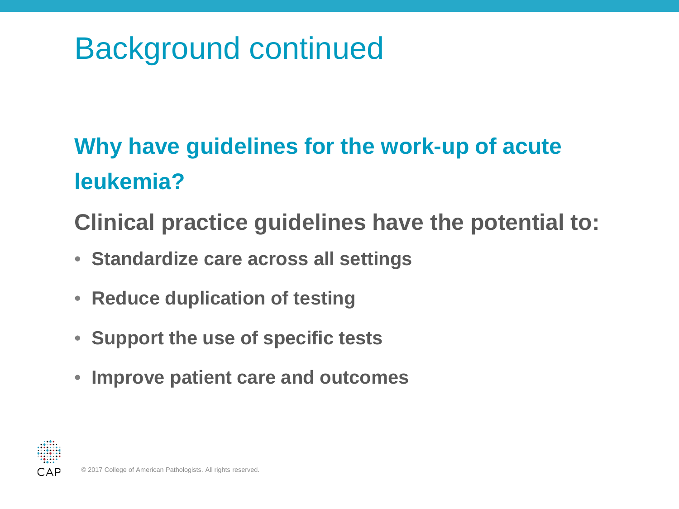# Background continued

#### **Why have guidelines for the work-up of acute leukemia?**

**Clinical practice guidelines have the potential to:**

- **Standardize care across all settings**
- **Reduce duplication of testing**
- **Support the use of specific tests**
- **Improve patient care and outcomes**

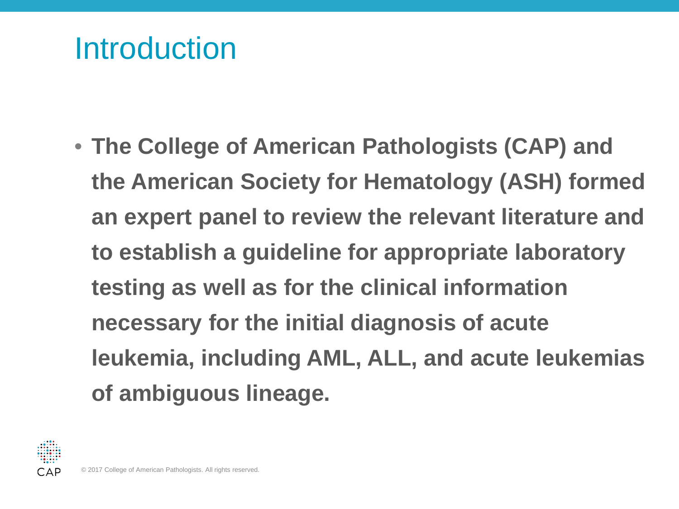#### **Introduction**

• **The College of American Pathologists (CAP) and the American Society for Hematology (ASH) formed an expert panel to review the relevant literature and to establish a guideline for appropriate laboratory testing as well as for the clinical information necessary for the initial diagnosis of acute leukemia, including AML, ALL, and acute leukemias of ambiguous lineage.**

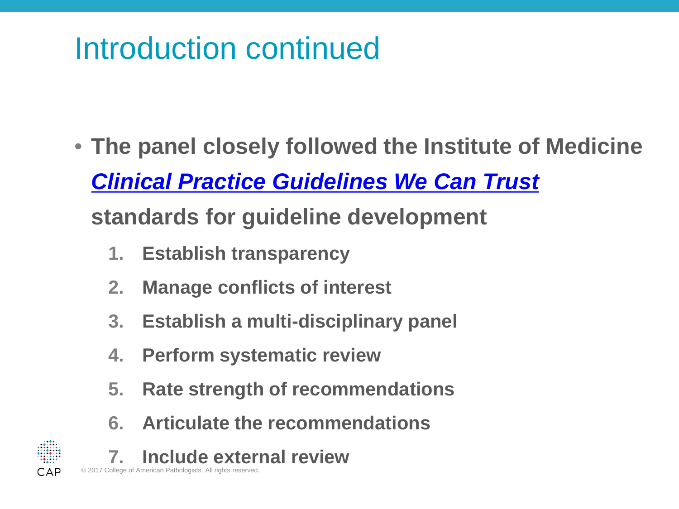## Introduction continued

- **The panel closely followed the Institute of Medicine**  *[Clinical Practice Guidelines We Can Trust](https://www.iom.edu/Reports/2011/Clinical-Practice-Guidelines-We-Can-Trust.aspx)* **standards for guideline development**
	- **1. Establish transparency**
	- **2. Manage conflicts of interest**
	- **3. Establish a multi-disciplinary panel**
	- **4. Perform systematic review**
	- **5. Rate strength of recommendations**
	- **6. Articulate the recommendations**
	- **7. Include external review**

© 2017 College of American Pathologists. All rights reserved.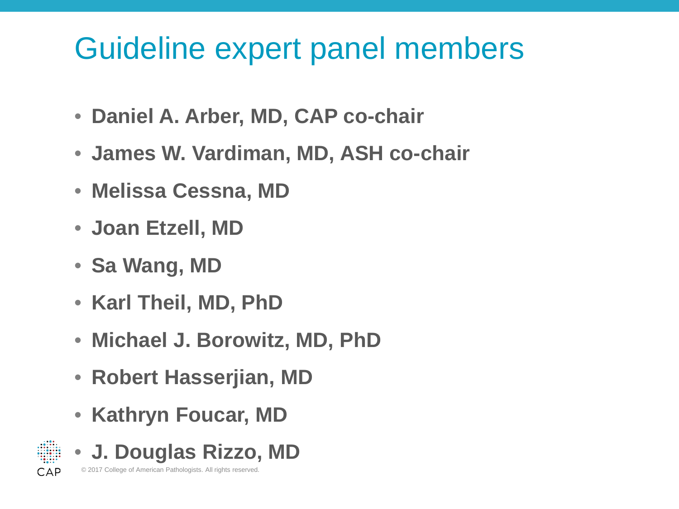## Guideline expert panel members

- **Daniel A. Arber, MD, CAP co-chair**
- **James W. Vardiman, MD, ASH co-chair**
- **Melissa Cessna, MD**
- **Joan Etzell, MD**
- **Sa Wang, MD**
- **Karl Theil, MD, PhD**
- **Michael J. Borowitz, MD, PhD**
- **Robert Hasserjian, MD**
- **Kathryn Foucar, MD**

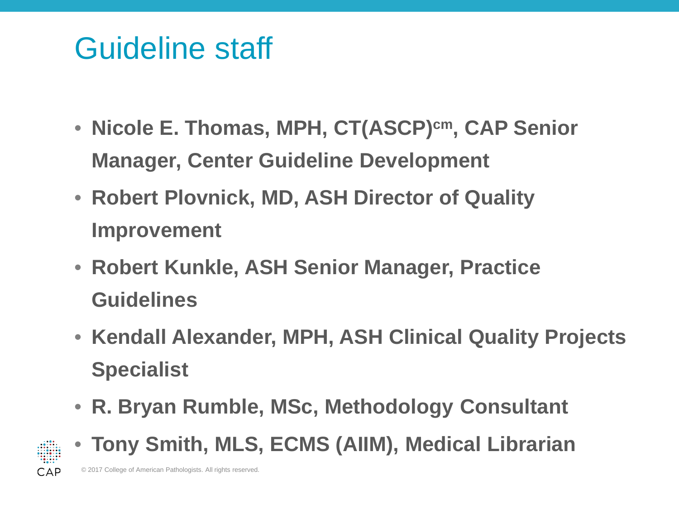## Guideline staff

- **Nicole E. Thomas, MPH, CT(ASCP)cm, CAP Senior Manager, Center Guideline Development**
- **Robert Plovnick, MD, ASH Director of Quality Improvement**
- **Robert Kunkle, ASH Senior Manager, Practice Guidelines**
- **Kendall Alexander, MPH, ASH Clinical Quality Projects Specialist**
- **R. Bryan Rumble, MSc, Methodology Consultant**



• **Tony Smith, MLS, ECMS (AIIM), Medical Librarian**

© 2017 College of American Pathologists. All rights reserved.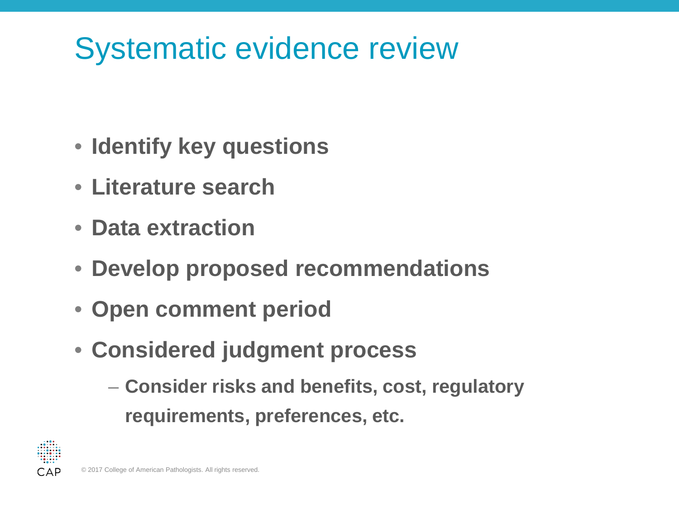# Systematic evidence review

- **Identify key questions**
- **Literature search**
- **Data extraction**
- **Develop proposed recommendations**
- **Open comment period**
- **Considered judgment process**
	- **Consider risks and benefits, cost, regulatory requirements, preferences, etc.**

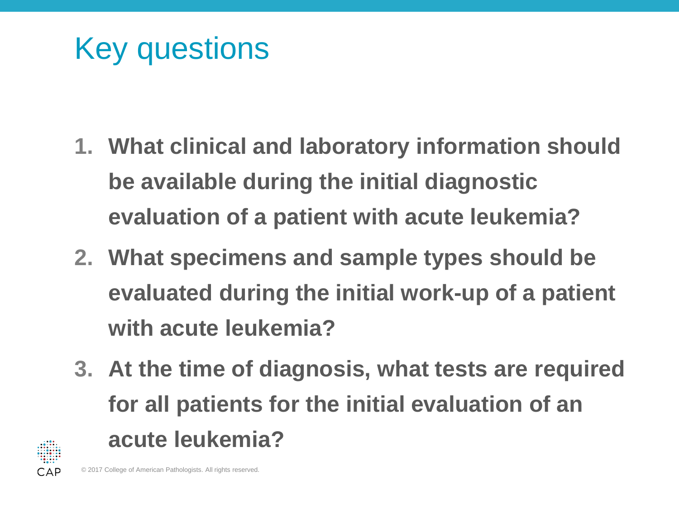Key questions

- **1. What clinical and laboratory information should be available during the initial diagnostic evaluation of a patient with acute leukemia?**
- **2. What specimens and sample types should be evaluated during the initial work-up of a patient with acute leukemia?**
- **3. At the time of diagnosis, what tests are required for all patients for the initial evaluation of an acute leukemia?**

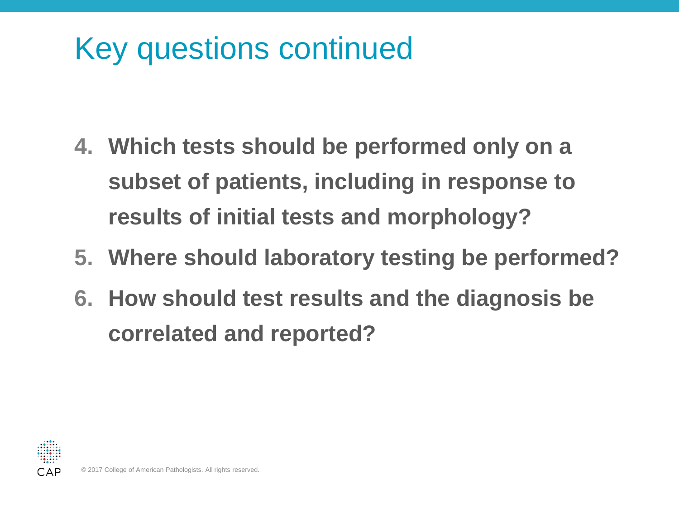# Key questions continued

- **4. Which tests should be performed only on a subset of patients, including in response to results of initial tests and morphology?**
- **5. Where should laboratory testing be performed?**
- **6. How should test results and the diagnosis be correlated and reported?**

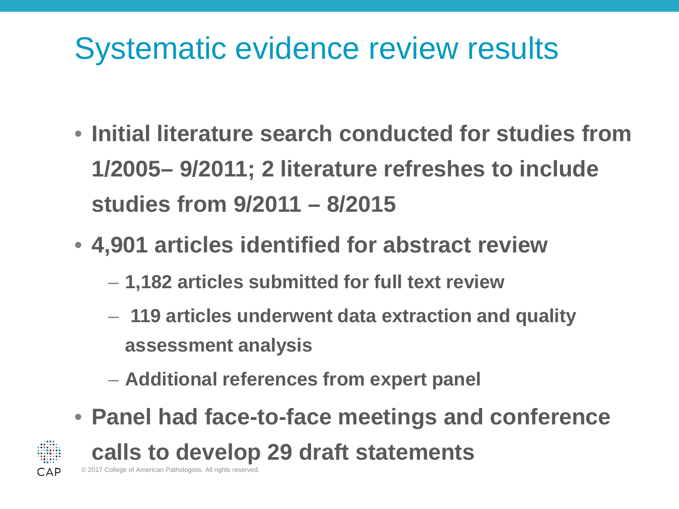## Systematic evidence review results

- **Initial literature search conducted for studies from 1/2005– 9/2011; 2 literature refreshes to include studies from 9/2011 – 8/2015**
- **4,901 articles identified for abstract review**
	- **1,182 articles submitted for full text review**
	- **119 articles underwent data extraction and quality assessment analysis**
	- **Additional references from expert panel**
- **Panel had face-to-face meetings and conference**



**calls to develop 29 draft statements**

© 2017 College of American Pathologists. All rights reserved.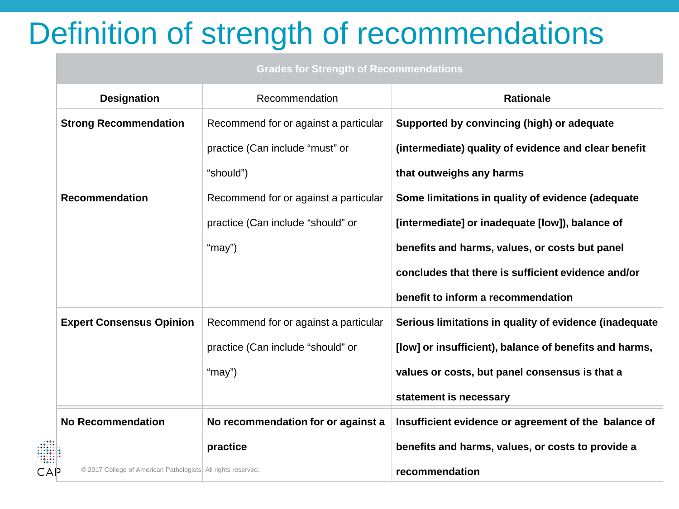# Definition of strength of recommendations

| <b>Grades for Strength of Recommendations</b> |                                       |                                                        |
|-----------------------------------------------|---------------------------------------|--------------------------------------------------------|
| <b>Designation</b>                            | Recommendation                        | <b>Rationale</b>                                       |
| <b>Strong Recommendation</b>                  | Recommend for or against a particular | Supported by convincing (high) or adequate             |
|                                               | practice (Can include "must" or       | (intermediate) quality of evidence and clear benefit   |
|                                               | "should")                             | that outweighs any harms                               |
| <b>Recommendation</b>                         | Recommend for or against a particular | Some limitations in quality of evidence (adequate      |
|                                               | practice (Can include "should" or     | [intermediate] or inadequate [low]), balance of        |
|                                               | "may")                                | benefits and harms, values, or costs but panel         |
|                                               |                                       | concludes that there is sufficient evidence and/or     |
|                                               |                                       | benefit to inform a recommendation                     |
| <b>Expert Consensus Opinion</b>               | Recommend for or against a particular | Serious limitations in quality of evidence (inadequate |
|                                               | practice (Can include "should" or     | [low] or insufficient), balance of benefits and harms, |

**values or costs, but panel consensus is that a** 

**statement is necessary**

CAP

"may")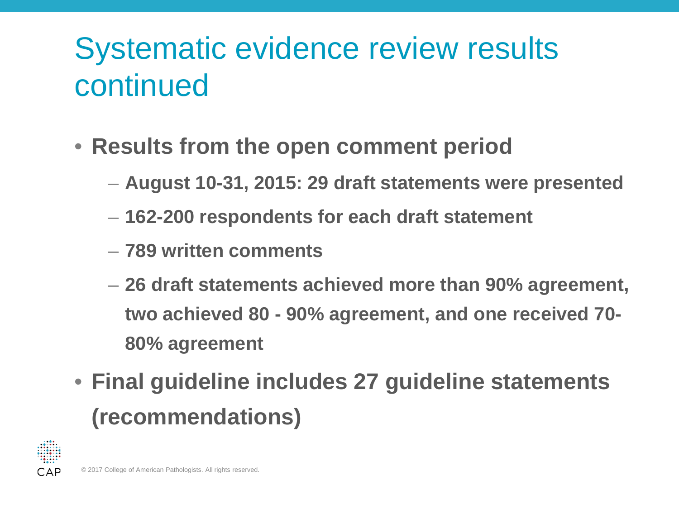# Systematic evidence review results continued

#### • **Results from the open comment period**

- **August 10-31, 2015: 29 draft statements were presented**
- **162-200 respondents for each draft statement**
- **789 written comments**
- **26 draft statements achieved more than 90% agreement, two achieved 80 - 90% agreement, and one received 70- 80% agreement**
- **Final guideline includes 27 guideline statements (recommendations)**

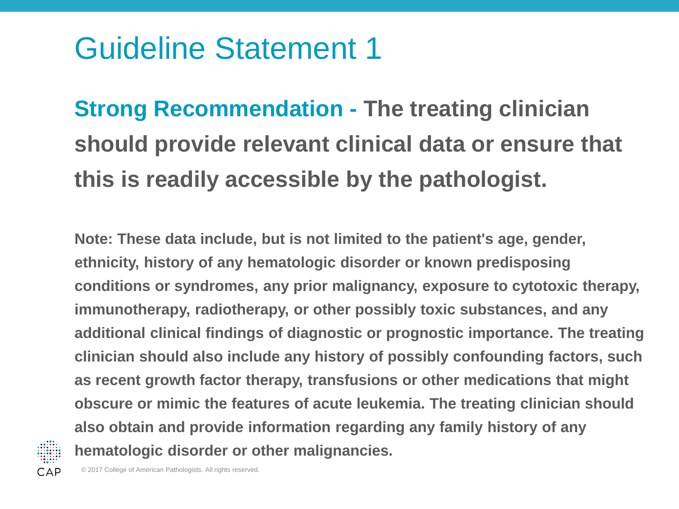**Strong Recommendation - The treating clinician should provide relevant clinical data or ensure that this is readily accessible by the pathologist.**

**Note: These data include, but is not limited to the patient's age, gender, ethnicity, history of any hematologic disorder or known predisposing conditions or syndromes, any prior malignancy, exposure to cytotoxic therapy, immunotherapy, radiotherapy, or other possibly toxic substances, and any additional clinical findings of diagnostic or prognostic importance. The treating clinician should also include any history of possibly confounding factors, such as recent growth factor therapy, transfusions or other medications that might obscure or mimic the features of acute leukemia. The treating clinician should also obtain and provide information regarding any family history of any hematologic disorder or other malignancies.**

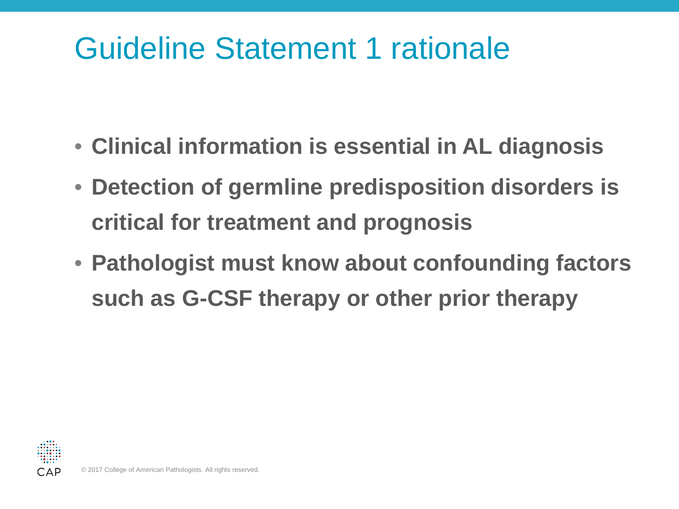## Guideline Statement 1 rationale

- **Clinical information is essential in AL diagnosis**
- **Detection of germline predisposition disorders is critical for treatment and prognosis**
- **Pathologist must know about confounding factors such as G-CSF therapy or other prior therapy**

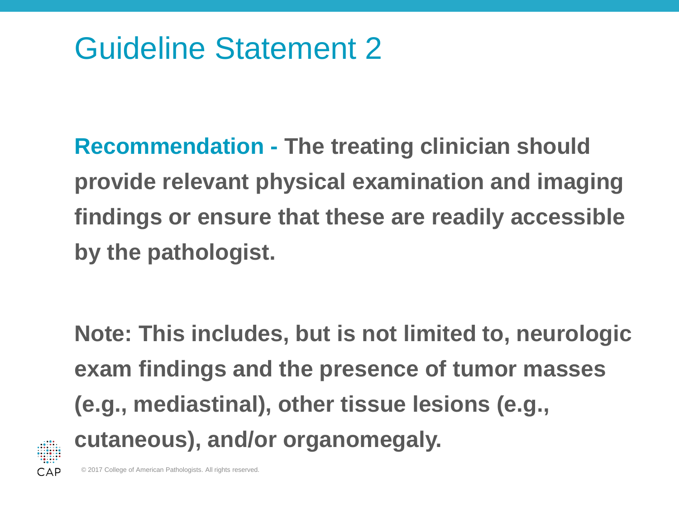**Recommendation - The treating clinician should provide relevant physical examination and imaging findings or ensure that these are readily accessible by the pathologist.** 

**Note: This includes, but is not limited to, neurologic exam findings and the presence of tumor masses (e.g., mediastinal), other tissue lesions (e.g., cutaneous), and/or organomegaly.**

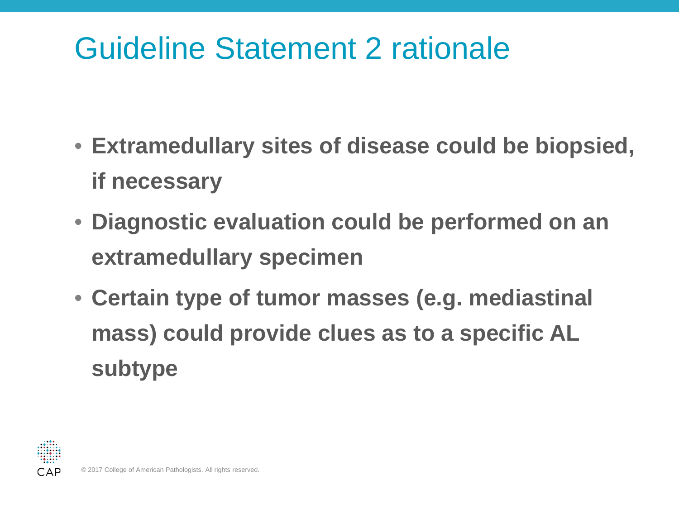## Guideline Statement 2 rationale

- **Extramedullary sites of disease could be biopsied, if necessary**
- **Diagnostic evaluation could be performed on an extramedullary specimen**
- **Certain type of tumor masses (e.g. mediastinal mass) could provide clues as to a specific AL subtype**

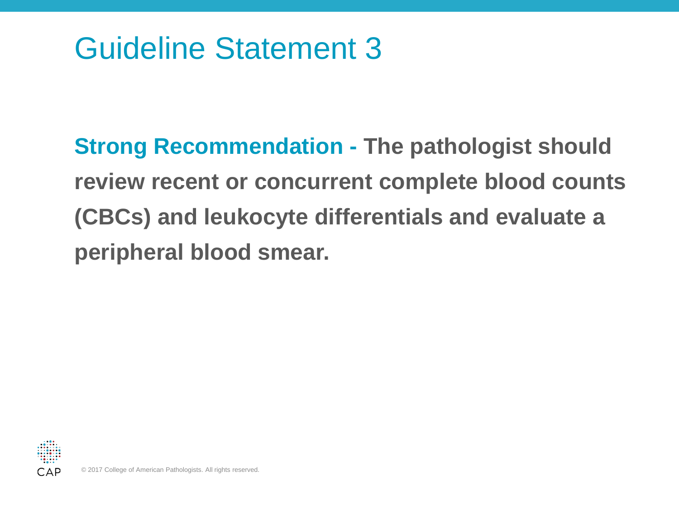**Strong Recommendation - The pathologist should review recent or concurrent complete blood counts (CBCs) and leukocyte differentials and evaluate a peripheral blood smear.**

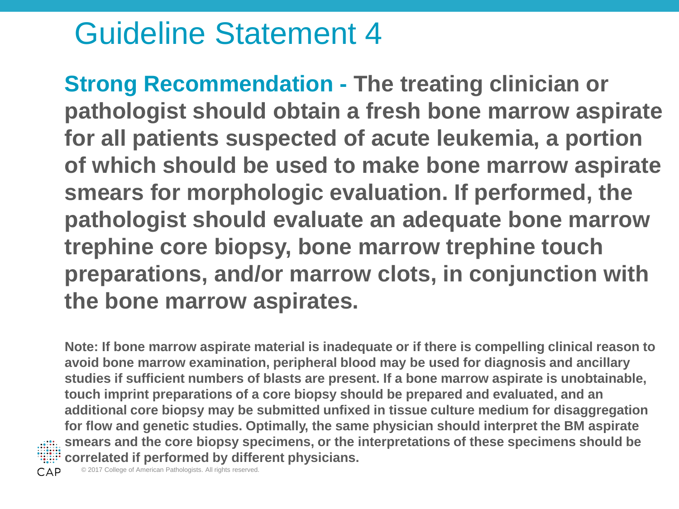**Strong Recommendation - The treating clinician or pathologist should obtain a fresh bone marrow aspirate for all patients suspected of acute leukemia, a portion of which should be used to make bone marrow aspirate smears for morphologic evaluation. If performed, the pathologist should evaluate an adequate bone marrow trephine core biopsy, bone marrow trephine touch preparations, and/or marrow clots, in conjunction with the bone marrow aspirates.**

**Note: If bone marrow aspirate material is inadequate or if there is compelling clinical reason to avoid bone marrow examination, peripheral blood may be used for diagnosis and ancillary studies if sufficient numbers of blasts are present. If a bone marrow aspirate is unobtainable, touch imprint preparations of a core biopsy should be prepared and evaluated, and an additional core biopsy may be submitted unfixed in tissue culture medium for disaggregation for flow and genetic studies. Optimally, the same physician should interpret the BM aspirate smears and the core biopsy specimens, or the interpretations of these specimens should be correlated if performed by different physicians.**

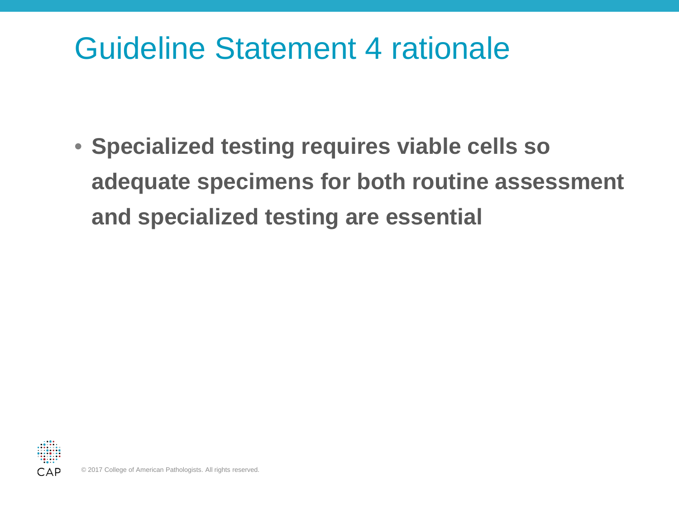#### Guideline Statement 4 rationale

• **Specialized testing requires viable cells so adequate specimens for both routine assessment and specialized testing are essential** 

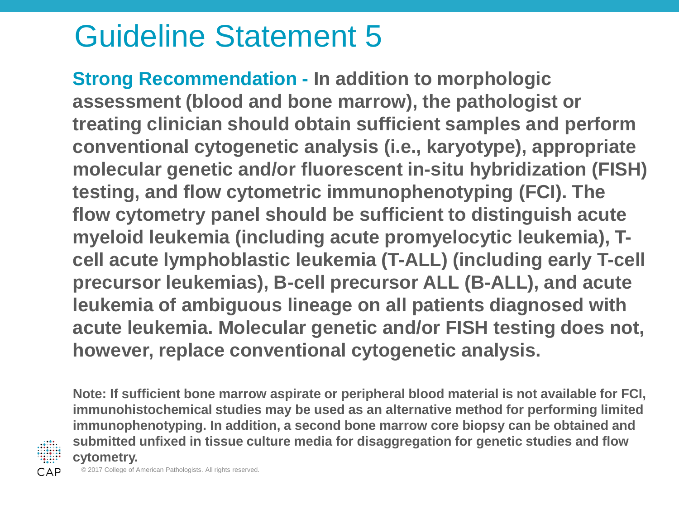**Strong Recommendation - In addition to morphologic assessment (blood and bone marrow), the pathologist or treating clinician should obtain sufficient samples and perform conventional cytogenetic analysis (i.e., karyotype), appropriate molecular genetic and/or fluorescent in-situ hybridization (FISH) testing, and flow cytometric immunophenotyping (FCI). The flow cytometry panel should be sufficient to distinguish acute myeloid leukemia (including acute promyelocytic leukemia), Tcell acute lymphoblastic leukemia (T-ALL) (including early T-cell precursor leukemias), B-cell precursor ALL (B-ALL), and acute leukemia of ambiguous lineage on all patients diagnosed with acute leukemia. Molecular genetic and/or FISH testing does not, however, replace conventional cytogenetic analysis.**

**Note: If sufficient bone marrow aspirate or peripheral blood material is not available for FCI, immunohistochemical studies may be used as an alternative method for performing limited immunophenotyping. In addition, a second bone marrow core biopsy can be obtained and submitted unfixed in tissue culture media for disaggregation for genetic studies and flow cytometry.**

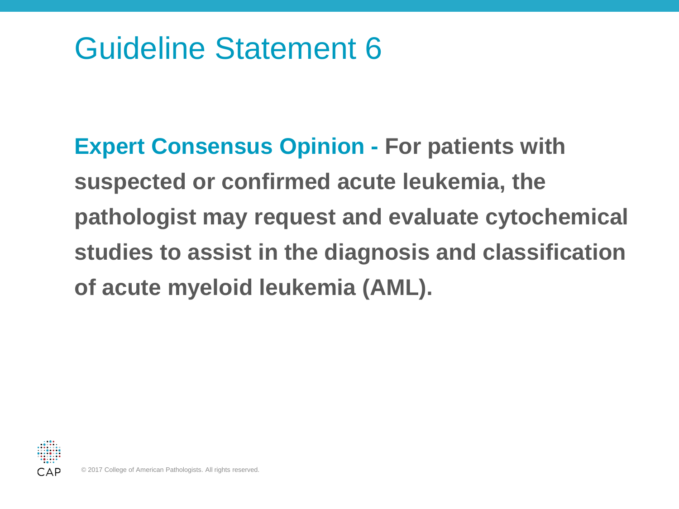**Expert Consensus Opinion - For patients with suspected or confirmed acute leukemia, the pathologist may request and evaluate cytochemical studies to assist in the diagnosis and classification of acute myeloid leukemia (AML).**

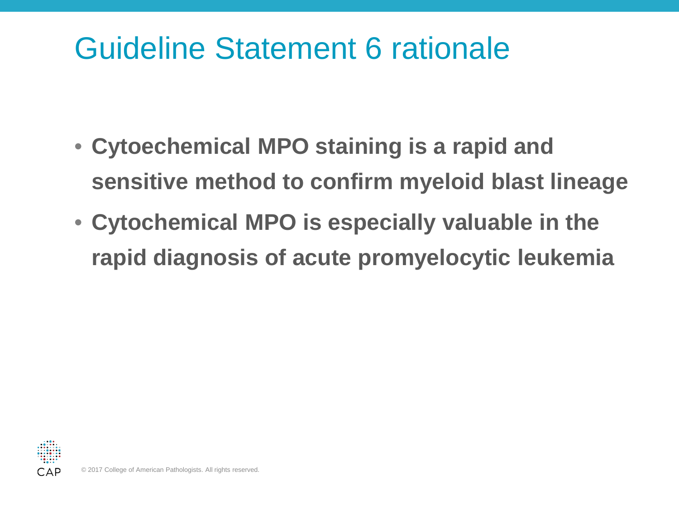#### Guideline Statement 6 rationale

- **Cytoechemical MPO staining is a rapid and sensitive method to confirm myeloid blast lineage**
- **Cytochemical MPO is especially valuable in the rapid diagnosis of acute promyelocytic leukemia**

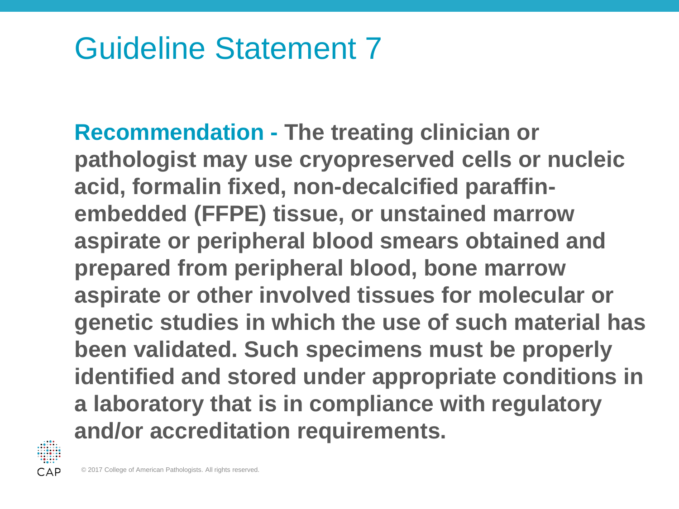**Recommendation - The treating clinician or pathologist may use cryopreserved cells or nucleic acid, formalin fixed, non-decalcified paraffinembedded (FFPE) tissue, or unstained marrow aspirate or peripheral blood smears obtained and prepared from peripheral blood, bone marrow aspirate or other involved tissues for molecular or genetic studies in which the use of such material has been validated. Such specimens must be properly identified and stored under appropriate conditions in a laboratory that is in compliance with regulatory and/or accreditation requirements.**

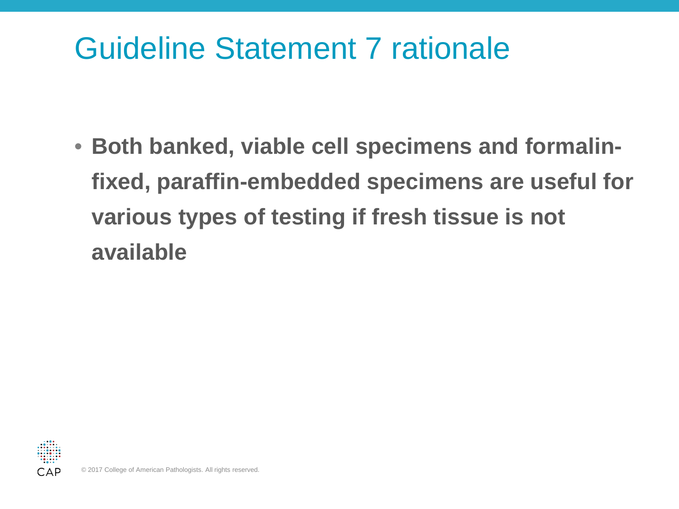#### Guideline Statement 7 rationale

• **Both banked, viable cell specimens and formalinfixed, paraffin-embedded specimens are useful for various types of testing if fresh tissue is not available**

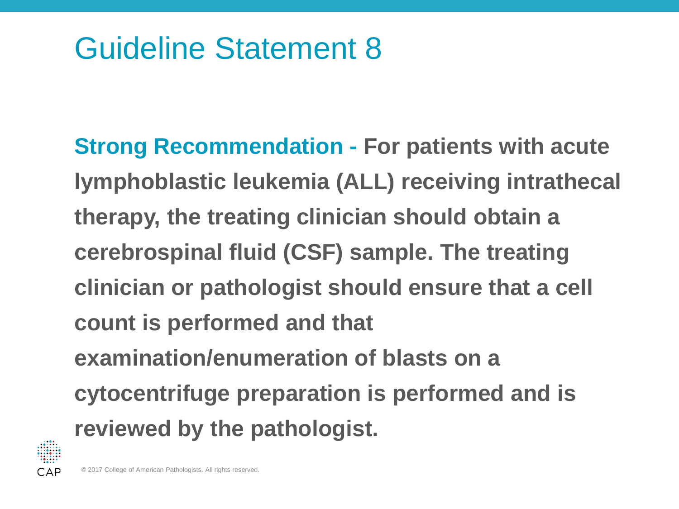**Strong Recommendation - For patients with acute lymphoblastic leukemia (ALL) receiving intrathecal therapy, the treating clinician should obtain a cerebrospinal fluid (CSF) sample. The treating clinician or pathologist should ensure that a cell count is performed and that examination/enumeration of blasts on a cytocentrifuge preparation is performed and is reviewed by the pathologist.**

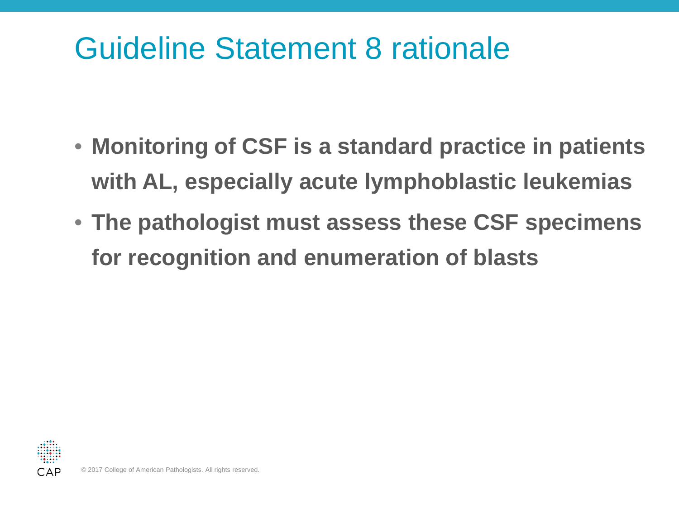#### Guideline Statement 8 rationale

- **Monitoring of CSF is a standard practice in patients with AL, especially acute lymphoblastic leukemias**
- **The pathologist must assess these CSF specimens for recognition and enumeration of blasts**

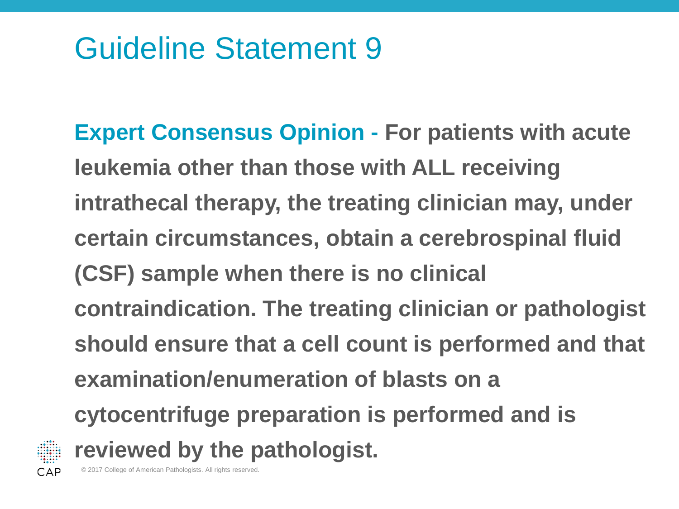**Expert Consensus Opinion - For patients with acute leukemia other than those with ALL receiving intrathecal therapy, the treating clinician may, under certain circumstances, obtain a cerebrospinal fluid (CSF) sample when there is no clinical contraindication. The treating clinician or pathologist should ensure that a cell count is performed and that examination/enumeration of blasts on a cytocentrifuge preparation is performed and is reviewed by the pathologist.**

© 2017 College of American Pathologists. All rights reserved.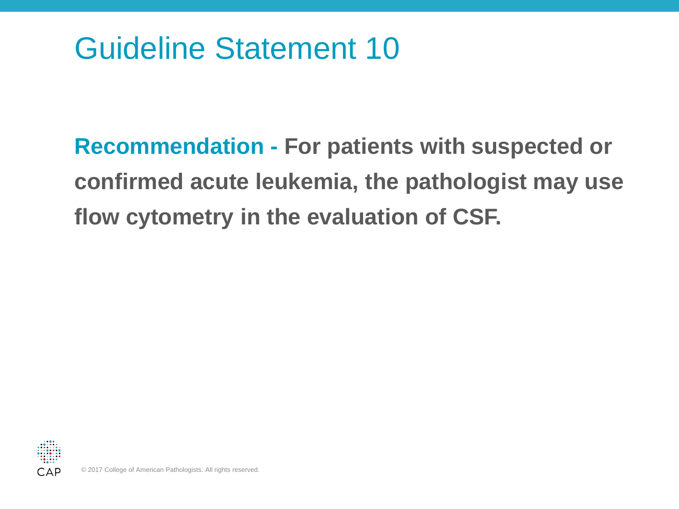**Recommendation - For patients with suspected or confirmed acute leukemia, the pathologist may use flow cytometry in the evaluation of CSF.**

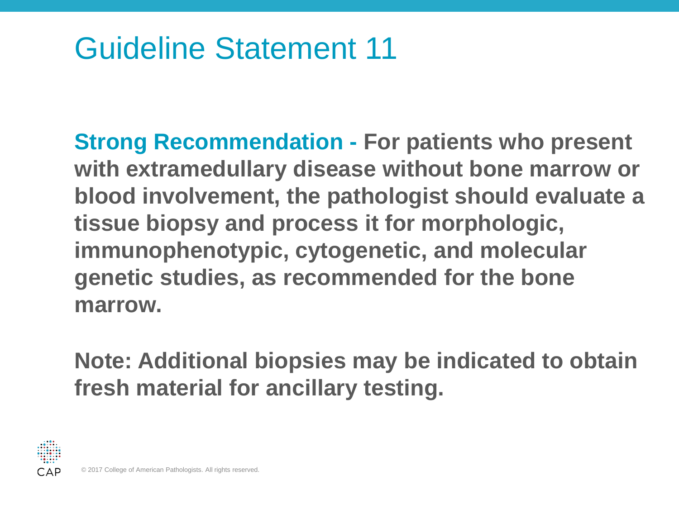**Strong Recommendation - For patients who present with extramedullary disease without bone marrow or blood involvement, the pathologist should evaluate a tissue biopsy and process it for morphologic, immunophenotypic, cytogenetic, and molecular genetic studies, as recommended for the bone marrow.** 

**Note: Additional biopsies may be indicated to obtain fresh material for ancillary testing.**

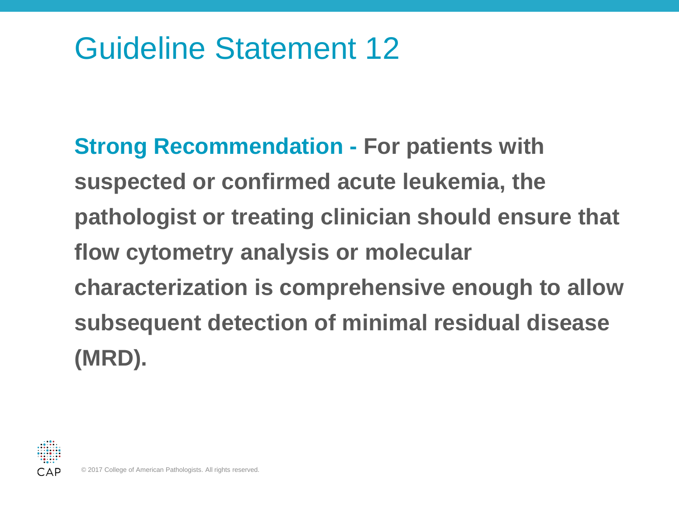**Strong Recommendation - For patients with suspected or confirmed acute leukemia, the pathologist or treating clinician should ensure that flow cytometry analysis or molecular characterization is comprehensive enough to allow subsequent detection of minimal residual disease (MRD).**

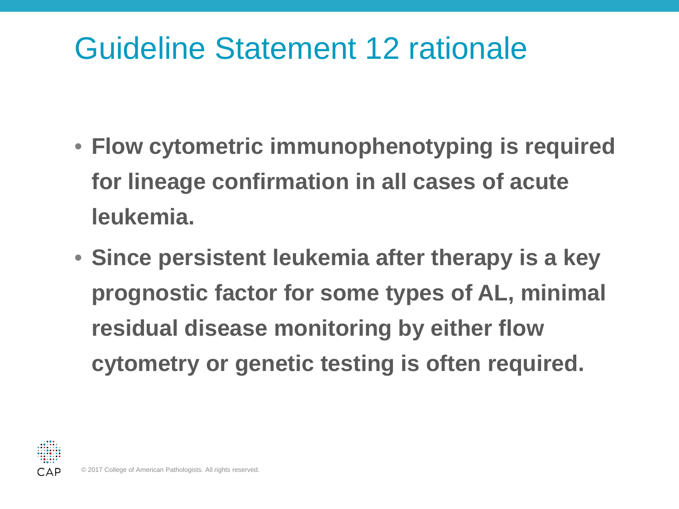## Guideline Statement 12 rationale

- **Flow cytometric immunophenotyping is required for lineage confirmation in all cases of acute leukemia.**
- **Since persistent leukemia after therapy is a key prognostic factor for some types of AL, minimal residual disease monitoring by either flow cytometry or genetic testing is often required.**

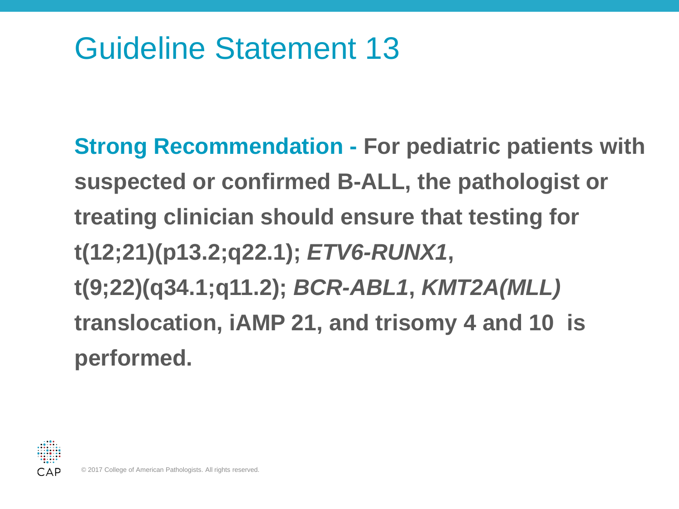**Strong Recommendation - For pediatric patients with suspected or confirmed B-ALL, the pathologist or treating clinician should ensure that testing for t(12;21)(p13.2;q22.1);** *ETV6-RUNX1***, t(9;22)(q34.1;q11.2);** *BCR-ABL1***,** *KMT2A(MLL)* **translocation, iAMP 21, and trisomy 4 and 10 is performed.**

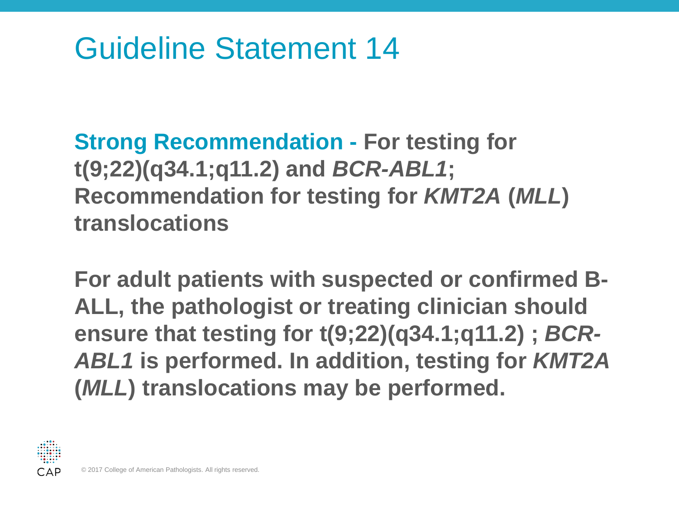**Strong Recommendation - For testing for t(9;22)(q34.1;q11.2) and** *BCR-ABL1***; Recommendation for testing for** *KMT2A* **(***MLL***) translocations** 

**For adult patients with suspected or confirmed B-ALL, the pathologist or treating clinician should ensure that testing for t(9;22)(q34.1;q11.2) ;** *BCR-ABL1* **is performed. In addition, testing for** *KMT2A*  **(***MLL***) translocations may be performed.**

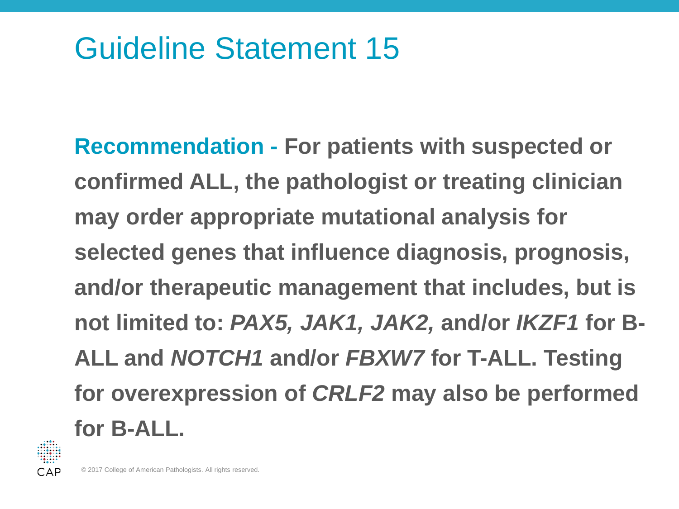**Recommendation - For patients with suspected or confirmed ALL, the pathologist or treating clinician may order appropriate mutational analysis for selected genes that influence diagnosis, prognosis, and/or therapeutic management that includes, but is not limited to:** *PAX5, JAK1, JAK2,* **and/or** *IKZF1* **for B-ALL and** *NOTCH1* **and/or** *FBXW7* **for T-ALL. Testing for overexpression of** *CRLF2* **may also be performed for B-ALL.**

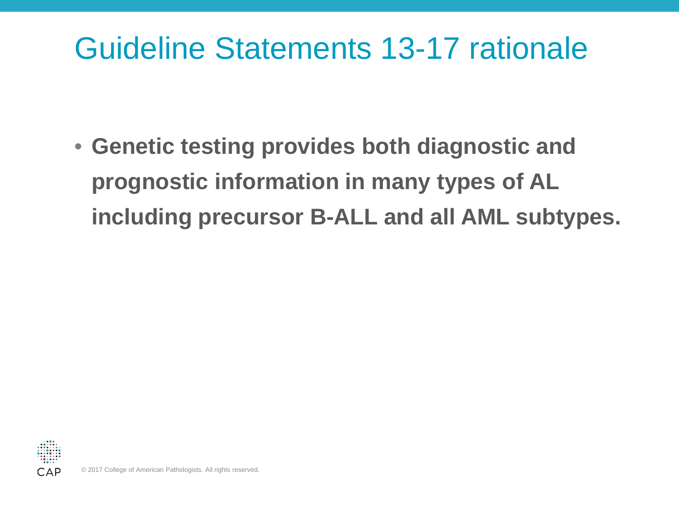#### Guideline Statements 13-17 rationale

• **Genetic testing provides both diagnostic and prognostic information in many types of AL including precursor B-ALL and all AML subtypes.**

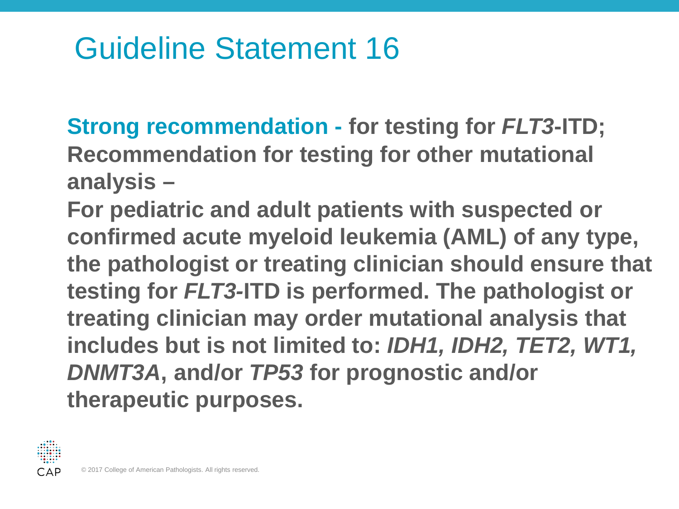**Strong recommendation - for testing for** *FLT3***-ITD; Recommendation for testing for other mutational analysis –**

**For pediatric and adult patients with suspected or confirmed acute myeloid leukemia (AML) of any type, the pathologist or treating clinician should ensure that testing for** *FLT3-***ITD is performed. The pathologist or treating clinician may order mutational analysis that includes but is not limited to:** *IDH1, IDH2, TET2, WT1, DNMT3A***, and/or** *TP53* **for prognostic and/or therapeutic purposes.**

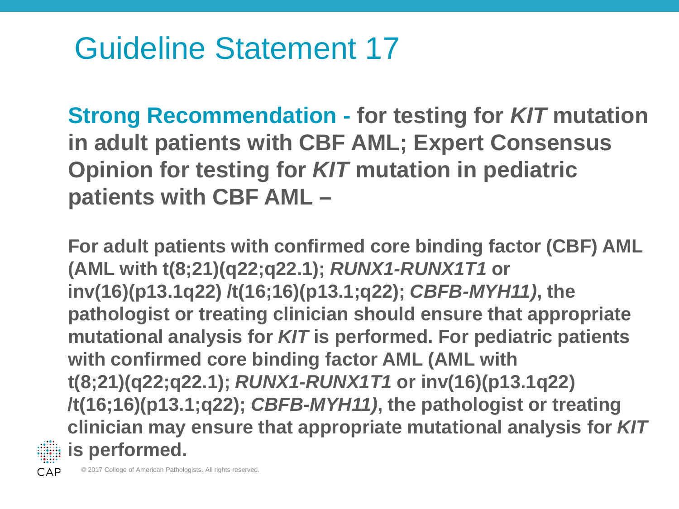**Strong Recommendation - for testing for** *KIT* **mutation in adult patients with CBF AML; Expert Consensus Opinion for testing for** *KIT* **mutation in pediatric patients with CBF AML –**

**For adult patients with confirmed core binding factor (CBF) AML (AML with t(8;21)(q22;q22.1);** *RUNX1-RUNX1T1* **or inv(16)(p13.1q22) /t(16;16)(p13.1;q22);** *CBFB-MYH11)***, the pathologist or treating clinician should ensure that appropriate mutational analysis for** *KIT* **is performed. For pediatric patients with confirmed core binding factor AML (AML with t(8;21)(q22;q22.1);** *RUNX1-RUNX1T1* **or inv(16)(p13.1q22) /t(16;16)(p13.1;q22);** *CBFB-MYH11)***, the pathologist or treating clinician may ensure that appropriate mutational analysis for** *KIT* **is performed.**



© 2017 College of American Pathologists. All rights reserved.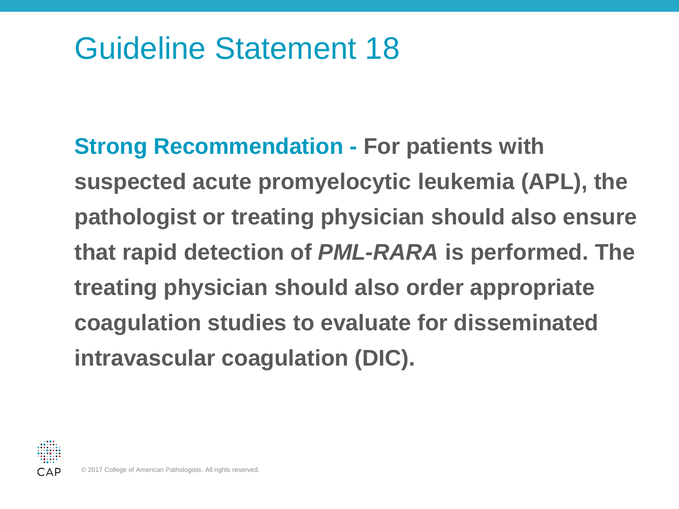**Strong Recommendation - For patients with suspected acute promyelocytic leukemia (APL), the pathologist or treating physician should also ensure that rapid detection of** *PML-RARA* **is performed. The treating physician should also order appropriate coagulation studies to evaluate for disseminated intravascular coagulation (DIC).**

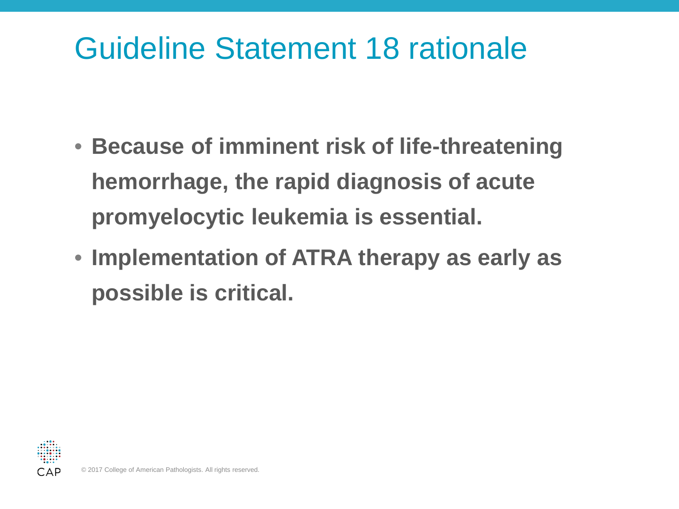#### Guideline Statement 18 rationale

- **Because of imminent risk of life-threatening hemorrhage, the rapid diagnosis of acute promyelocytic leukemia is essential.**
- **Implementation of ATRA therapy as early as possible is critical.**

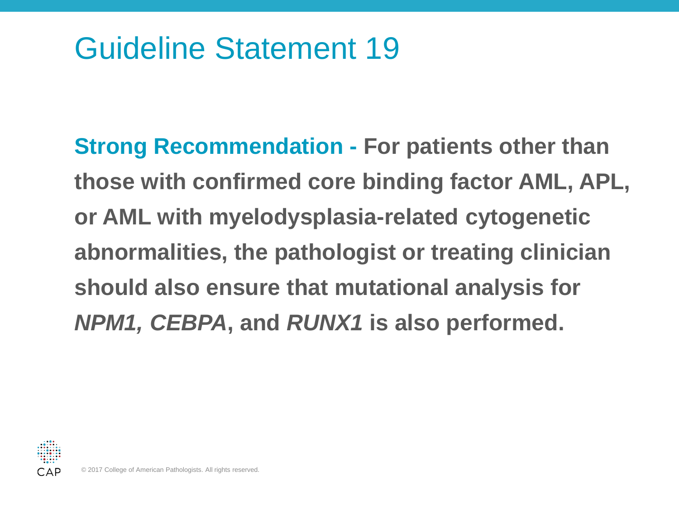**Strong Recommendation - For patients other than those with confirmed core binding factor AML, APL, or AML with myelodysplasia-related cytogenetic abnormalities, the pathologist or treating clinician should also ensure that mutational analysis for**  *NPM1, CEBPA***, and** *RUNX1* **is also performed.**

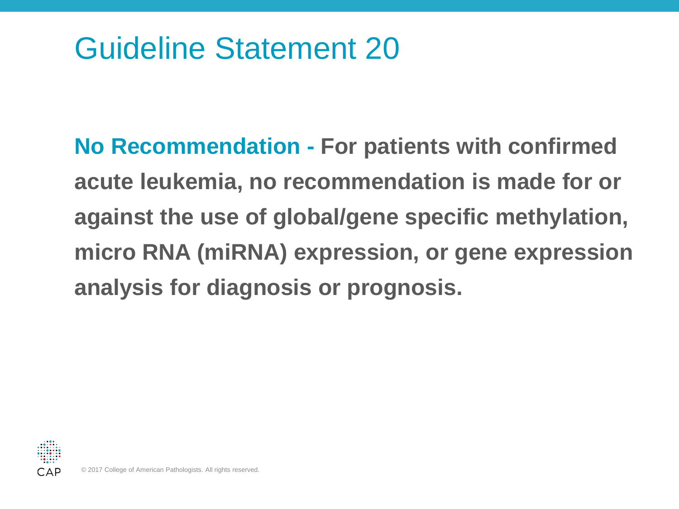**No Recommendation - For patients with confirmed acute leukemia, no recommendation is made for or against the use of global/gene specific methylation, micro RNA (miRNA) expression, or gene expression analysis for diagnosis or prognosis.**

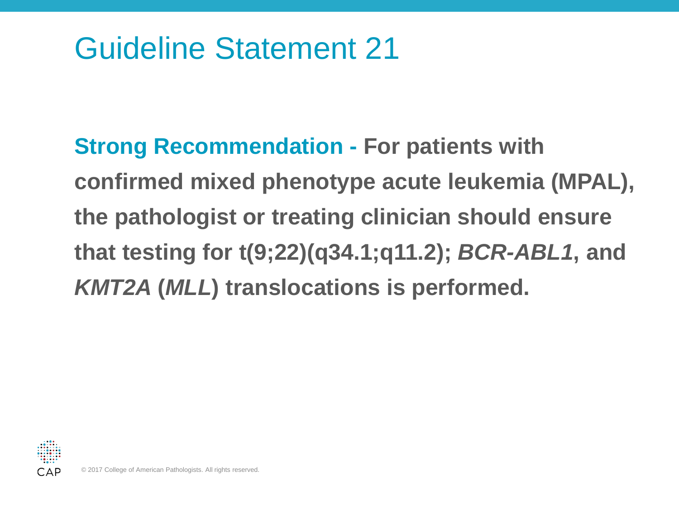**Strong Recommendation - For patients with confirmed mixed phenotype acute leukemia (MPAL), the pathologist or treating clinician should ensure that testing for t(9;22)(q34.1;q11.2);** *BCR-ABL1***, and**  *KMT2A* **(***MLL***) translocations is performed.**

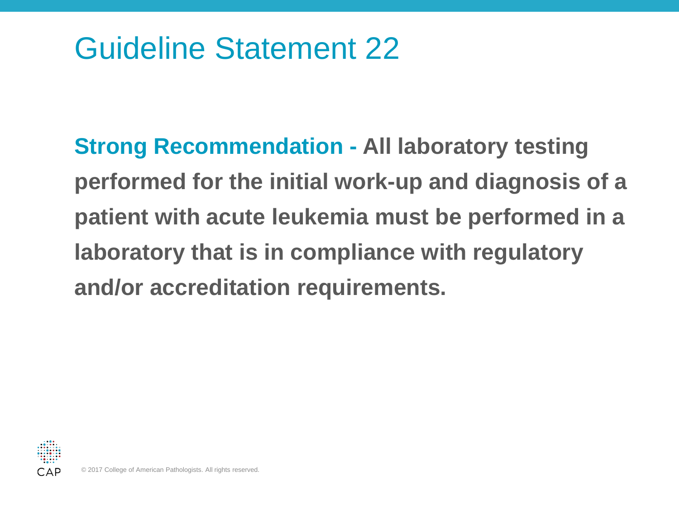**Strong Recommendation - All laboratory testing performed for the initial work-up and diagnosis of a patient with acute leukemia must be performed in a laboratory that is in compliance with regulatory and/or accreditation requirements.**

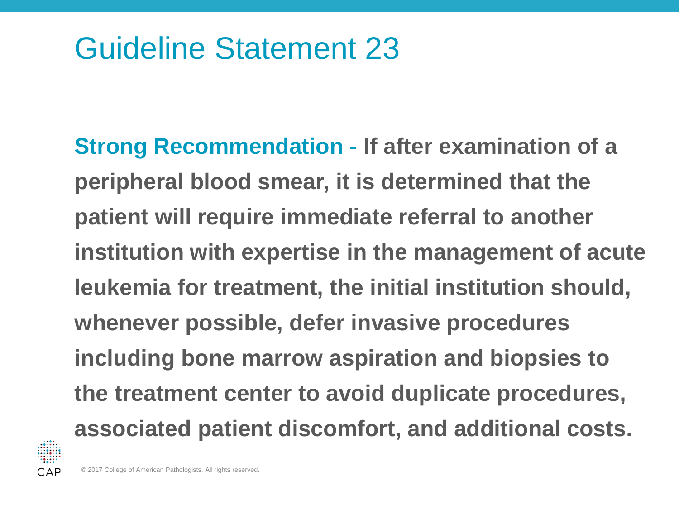**Strong Recommendation - If after examination of a peripheral blood smear, it is determined that the patient will require immediate referral to another institution with expertise in the management of acute leukemia for treatment, the initial institution should, whenever possible, defer invasive procedures including bone marrow aspiration and biopsies to the treatment center to avoid duplicate procedures, associated patient discomfort, and additional costs.**

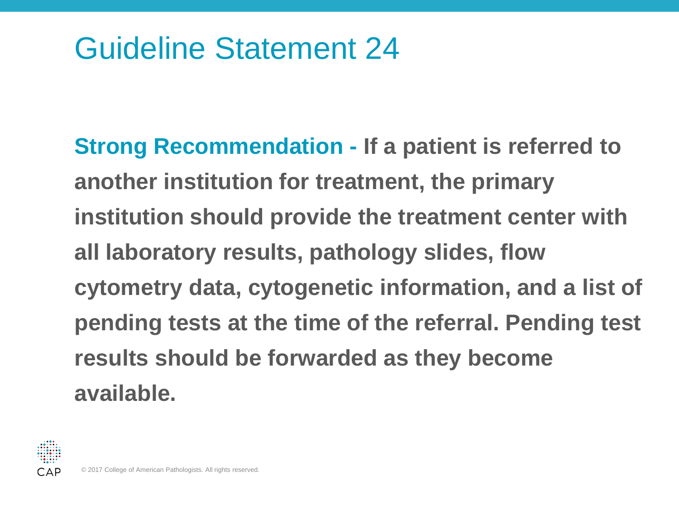**Strong Recommendation - If a patient is referred to another institution for treatment, the primary institution should provide the treatment center with all laboratory results, pathology slides, flow cytometry data, cytogenetic information, and a list of pending tests at the time of the referral. Pending test results should be forwarded as they become available.**

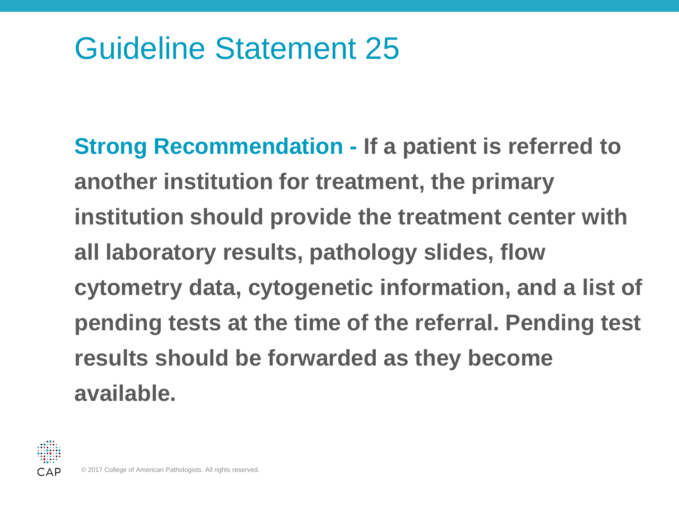**Strong Recommendation - If a patient is referred to another institution for treatment, the primary institution should provide the treatment center with all laboratory results, pathology slides, flow cytometry data, cytogenetic information, and a list of pending tests at the time of the referral. Pending test results should be forwarded as they become available.**

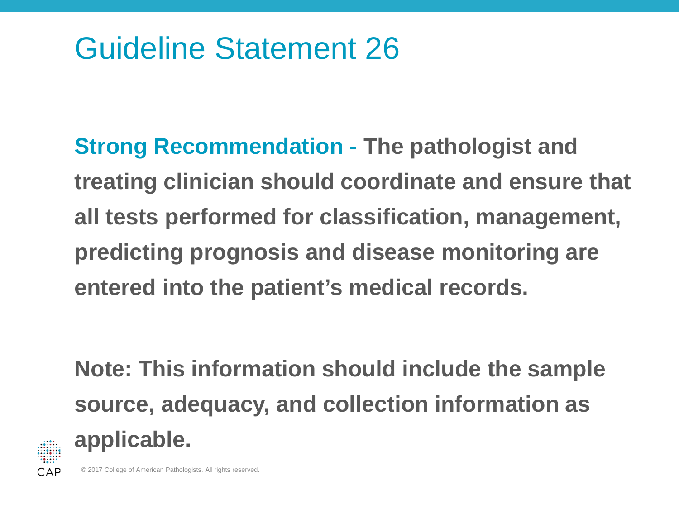**Strong Recommendation - The pathologist and treating clinician should coordinate and ensure that all tests performed for classification, management, predicting prognosis and disease monitoring are entered into the patient's medical records.**

**Note: This information should include the sample source, adequacy, and collection information as applicable.**

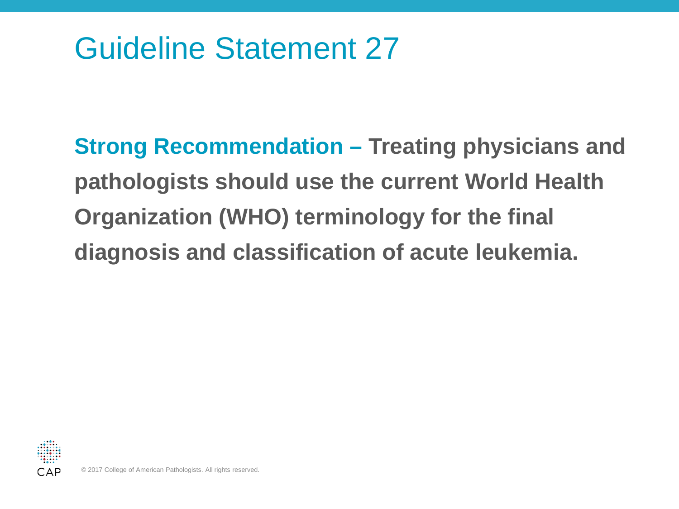**Strong Recommendation – Treating physicians and pathologists should use the current World Health Organization (WHO) terminology for the final diagnosis and classification of acute leukemia.**

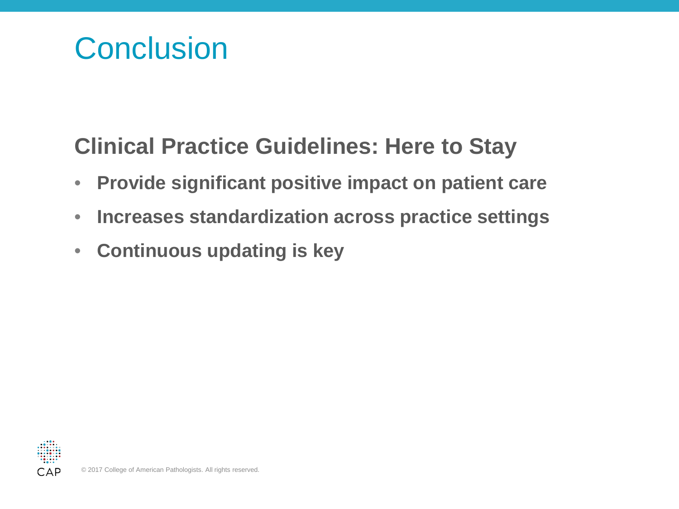#### **Conclusion**

#### **Clinical Practice Guidelines: Here to Stay**

- **Provide significant positive impact on patient care**
- **Increases standardization across practice settings**
- **Continuous updating is key**

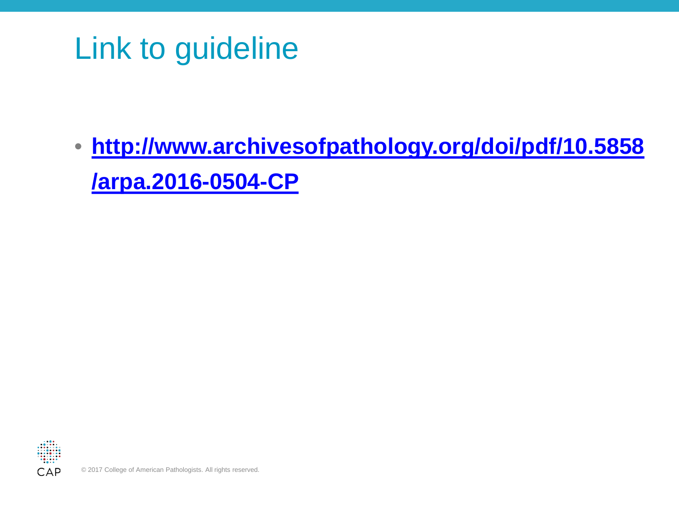## Link to guideline

• **[http://www.archivesofpathology.org/doi/pdf/10.5858](http://www.archivesofpathology.org/doi/pdf/10.5858/arpa.2016-0504-CP) [/arpa.2016-0504-CP](http://www.archivesofpathology.org/doi/pdf/10.5858/arpa.2016-0504-CP)**